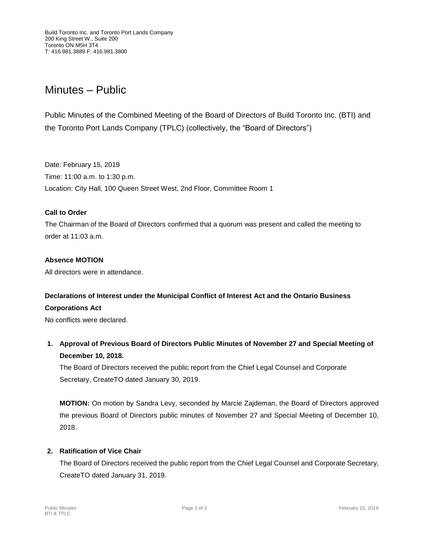# Minutes – Public

Public Minutes of the Combined Meeting of the Board of Directors of Build Toronto Inc. (BTI) and the Toronto Port Lands Company (TPLC) (collectively, the "Board of Directors")

Date: February 15, 2019 Time: 11:00 a.m. to 1:30 p.m. Location: City Hall, 100 Queen Street West, 2nd Floor, Committee Room 1

## **Call to Order**

The Chairman of the Board of Directors confirmed that a quorum was present and called the meeting to order at 11:03 a.m.

# **Absence MOTION**

All directors were in attendance.

# **Declarations of Interest under the Municipal Conflict of Interest Act and the Ontario Business**

### **Corporations Act**

No conflicts were declared.

**1. Approval of Previous Board of Directors Public Minutes of November 27 and Special Meeting of December 10, 2018.**

The Board of Directors received the public report from the Chief Legal Counsel and Corporate Secretary, CreateTO dated January 30, 2019.

**MOTION:** On motion by Sandra Levy, seconded by Marcie Zajdeman, the Board of Directors approved the previous Board of Directors public minutes of November 27 and Special Meeting of December 10, 2018.

### **2. Ratification of Vice Chair**

The Board of Directors received the public report from the Chief Legal Counsel and Corporate Secretary, CreateTO dated January 31, 2019.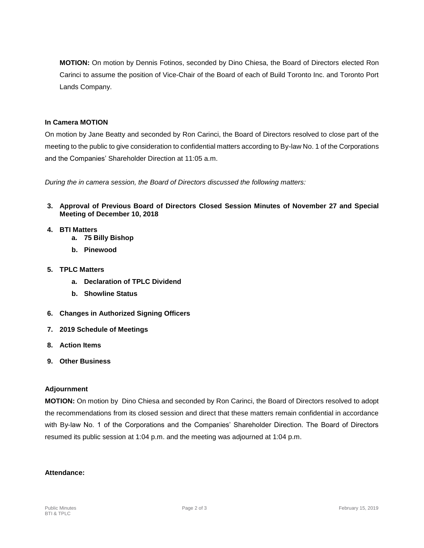**MOTION:** On motion by Dennis Fotinos, seconded by Dino Chiesa, the Board of Directors elected Ron Carinci to assume the position of Vice-Chair of the Board of each of Build Toronto Inc. and Toronto Port Lands Company.

#### **In Camera MOTION**

On motion by Jane Beatty and seconded by Ron Carinci, the Board of Directors resolved to close part of the meeting to the public to give consideration to confidential matters according to By-law No. 1 of the Corporations and the Companies' Shareholder Direction at 11:05 a.m.

*During the in camera session, the Board of Directors discussed the following matters:*

- **3. Approval of Previous Board of Directors Closed Session Minutes of November 27 and Special Meeting of December 10, 2018**
- **4. BTI Matters**
	- **a. 75 Billy Bishop**
	- **b. Pinewood**
- **5. TPLC Matters**
	- **a. Declaration of TPLC Dividend**
	- **b. Showline Status**
- **6. Changes in Authorized Signing Officers**
- **7. 2019 Schedule of Meetings**
- **8. Action Items**
- **9. Other Business**

#### **Adjournment**

**MOTION:** On motion by Dino Chiesa and seconded by Ron Carinci, the Board of Directors resolved to adopt the recommendations from its closed session and direct that these matters remain confidential in accordance with By-law No. 1 of the Corporations and the Companies' Shareholder Direction. The Board of Directors resumed its public session at 1:04 p.m. and the meeting was adjourned at 1:04 p.m.

#### **Attendance:**